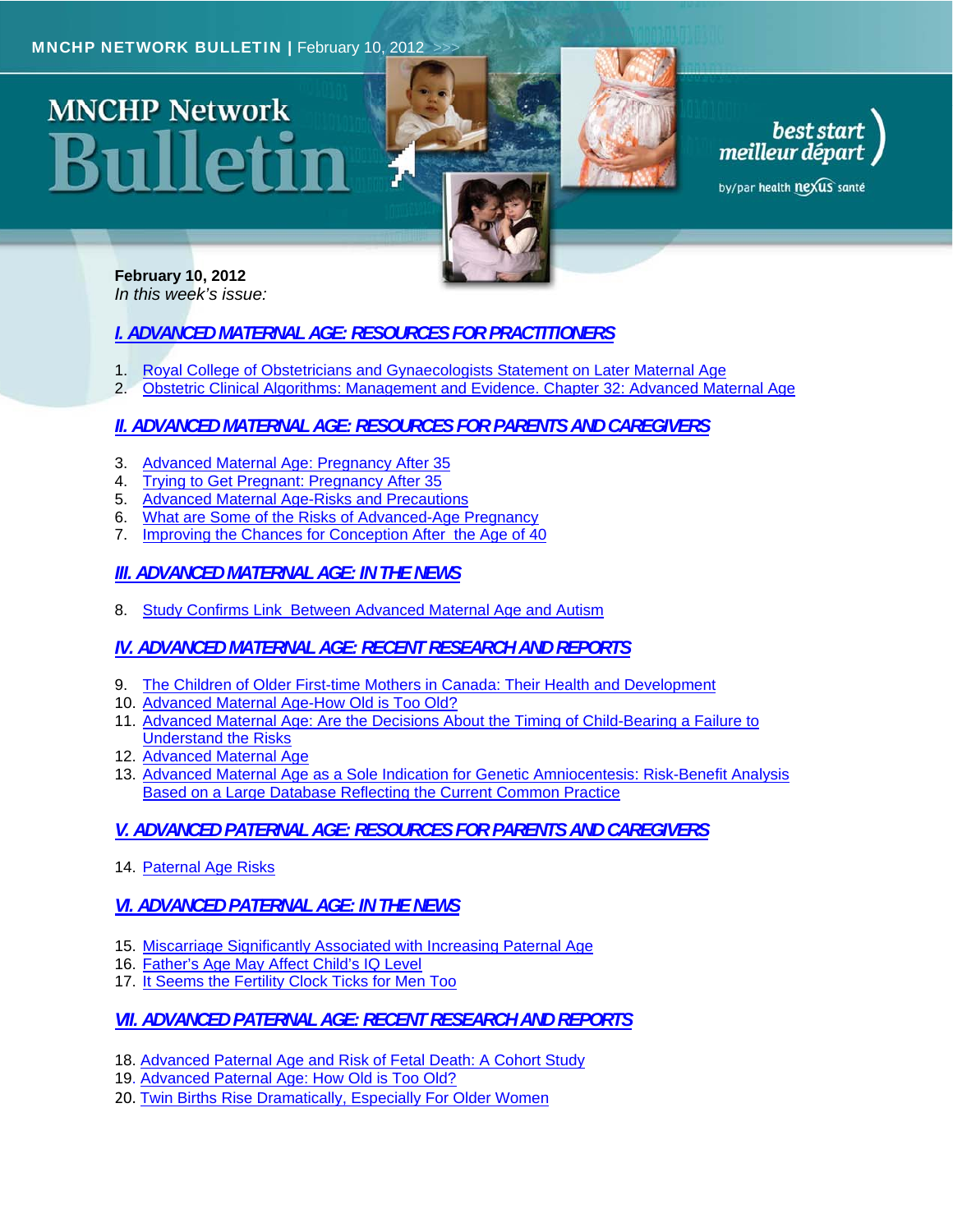# **MNCHP Network** A11 I P



# best start<br>meilleur départ

by/par health nexus santé

**February 10, 2012**  *In this week's issue:* 

## *I. ADVANCED MATERNAL AGE: RESOURCES FOR PRACTITIONERS*

- 1. Royal College of Obstetricians and Gynaecologists Statement on Later Maternal Age
- 2. Obstetric Clinical Algorithms: Management and Evidence. Chapter 32: Advanced Maternal Age

## *II. ADVANCED MATERNAL AGE: RESOURCES FOR PARENTS AND CAREGIVERS*

- 3. Advanced Maternal Age: Pregnancy After 35
- 4. Trying to Get Pregnant: Pregnancy After 35
- 5. Advanced Maternal Age-Risks and Precautions
- 6. What are Some of the Risks of Advanced-Age Pregnancy
- 7. Improving the Chances for Conception After the Age of 40

## *III. ADVANCED MATERNAL AGE: IN THE NEWS*

8. Study Confirms Link Between Advanced Maternal Age and Autism

## *IV. ADVANCED MATERNAL AGE: RECENT RESEARCH AND REPORTS*

- 9. The Children of Older First-time Mothers in Canada: Their Health and Development
- 10. Advanced Maternal Age-How Old is Too Old?
- 11. Advanced Maternal Age: Are the Decisions About the Timing of Child-Bearing a Failure to Understand the Risks
- 12. Advanced Maternal Age
- 13. Advanced Maternal Age as a Sole Indication for Genetic Amniocentesis: Risk-Benefit Analysis Based on a Large Database Reflecting the Current Common Practice

## *V. ADVANCED PATERNAL AGE: RESOURCES FOR PARENTS AND CAREGIVERS*

14. Paternal Age Risks

## *VI. ADVANCED PATERNAL AGE: IN THE NEWS*

- 15. Miscarriage Significantly Associated with Increasing Paternal Age
- 16. Father's Age May Affect Child's IQ Level
- 17. It Seems the Fertility Clock Ticks for Men Too

## *VII. ADVANCED PATERNAL AGE: RECENT RESEARCH AND REPORTS*

- 18. Advanced Paternal Age and Risk of Fetal Death: A Cohort Study
- 19. Advanced Paternal Age: How Old is Too Old?
- 20. Twin Births Rise Dramatically, Especially For Older Women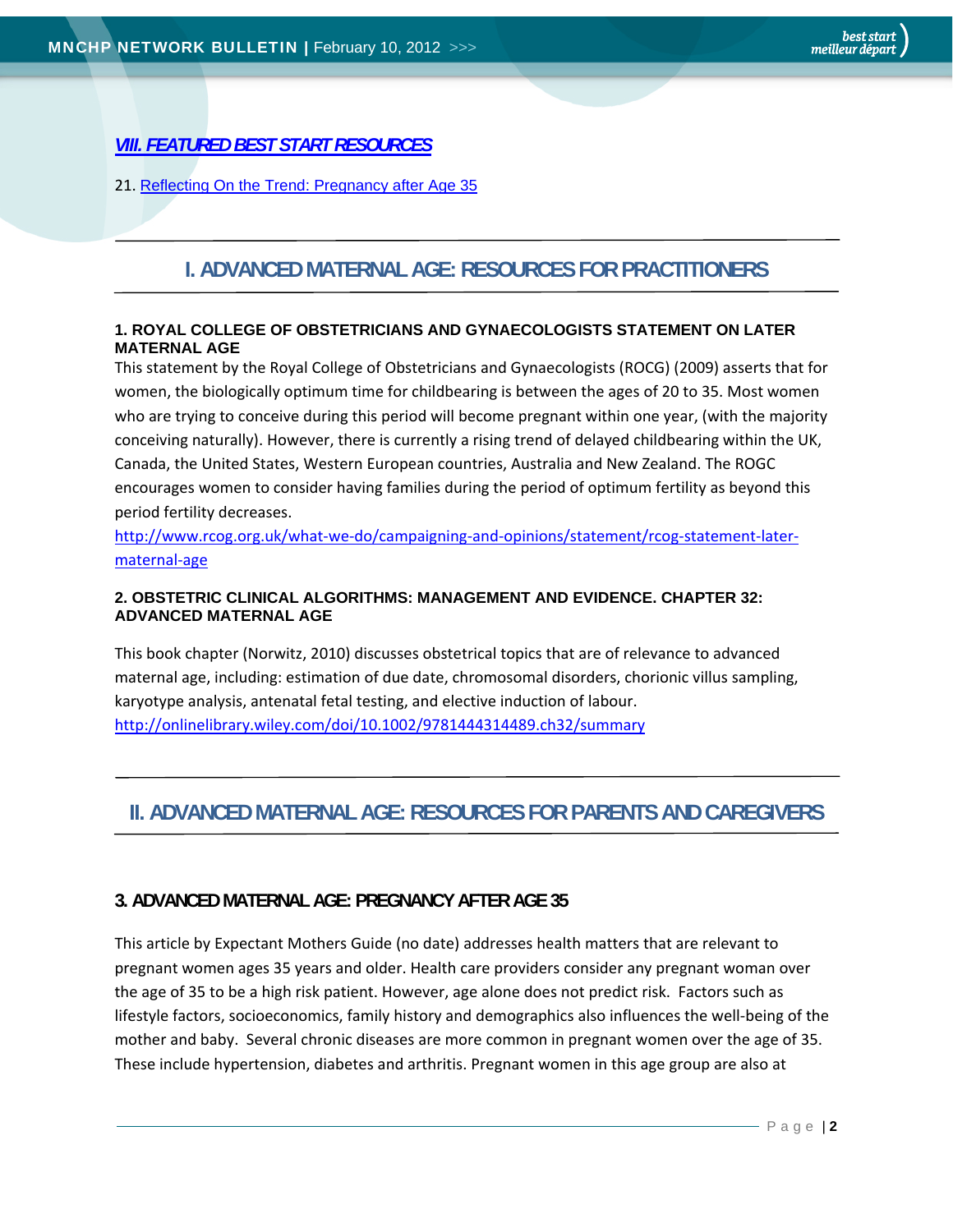# *VIII. FEATURED BEST START RESOURCES*

21. Reflecting On the Trend: Pregnancy after Age 35

# **I. ADVANCED MATERNAL AGE: RESOURCES FOR PRACTITIONERS**

#### **1. ROYAL COLLEGE OF OBSTETRICIANS AND GYNAECOLOGISTS STATEMENT ON LATER MATERNAL AGE**

This statement by the Royal College of Obstetricians and Gynaecologists (ROCG) (2009) asserts that for women, the biologically optimum time for childbearing is between the ages of 20 to 35. Most women who are trying to conceive during this period will become pregnant within one year, (with the majority conceiving naturally). However, there is currently a rising trend of delayed childbearing within the UK, Canada, the United States, Western European countries, Australia and New Zealand. The ROGC encourages women to consider having families during the period of optimum fertility as beyond this period fertility decreases.

http://www.rcog.org.uk/what-we-do/campaigning-and-opinions/statement/rcog-statement-latermaternal‐age

#### **2. OBSTETRIC CLINICAL ALGORITHMS: MANAGEMENT AND EVIDENCE. CHAPTER 32: ADVANCED MATERNAL AGE**

This book chapter (Norwitz, 2010) discusses obstetrical topics that are of relevance to advanced maternal age, including: estimation of due date, chromosomal disorders, chorionic villus sampling, karyotype analysis, antenatal fetal testing, and elective induction of labour. http://onlinelibrary.wiley.com/doi/10.1002/9781444314489.ch32/summary

# **II. ADVANCED MATERNAL AGE: RESOURCES FOR PARENTS AND CAREGIVERS**

## **3. ADVANCED MATERNAL AGE: PREGNANCY AFTER AGE 35**

This article by Expectant Mothers Guide (no date) addresses health matters that are relevant to pregnant women ages 35 years and older. Health care providers consider any pregnant woman over the age of 35 to be a high risk patient. However, age alone does not predict risk. Factors such as lifestyle factors, socioeconomics, family history and demographics also influences the well‐being of the mother and baby. Several chronic diseases are more common in pregnant women over the age of 35. These include hypertension, diabetes and arthritis. Pregnant women in this age group are also at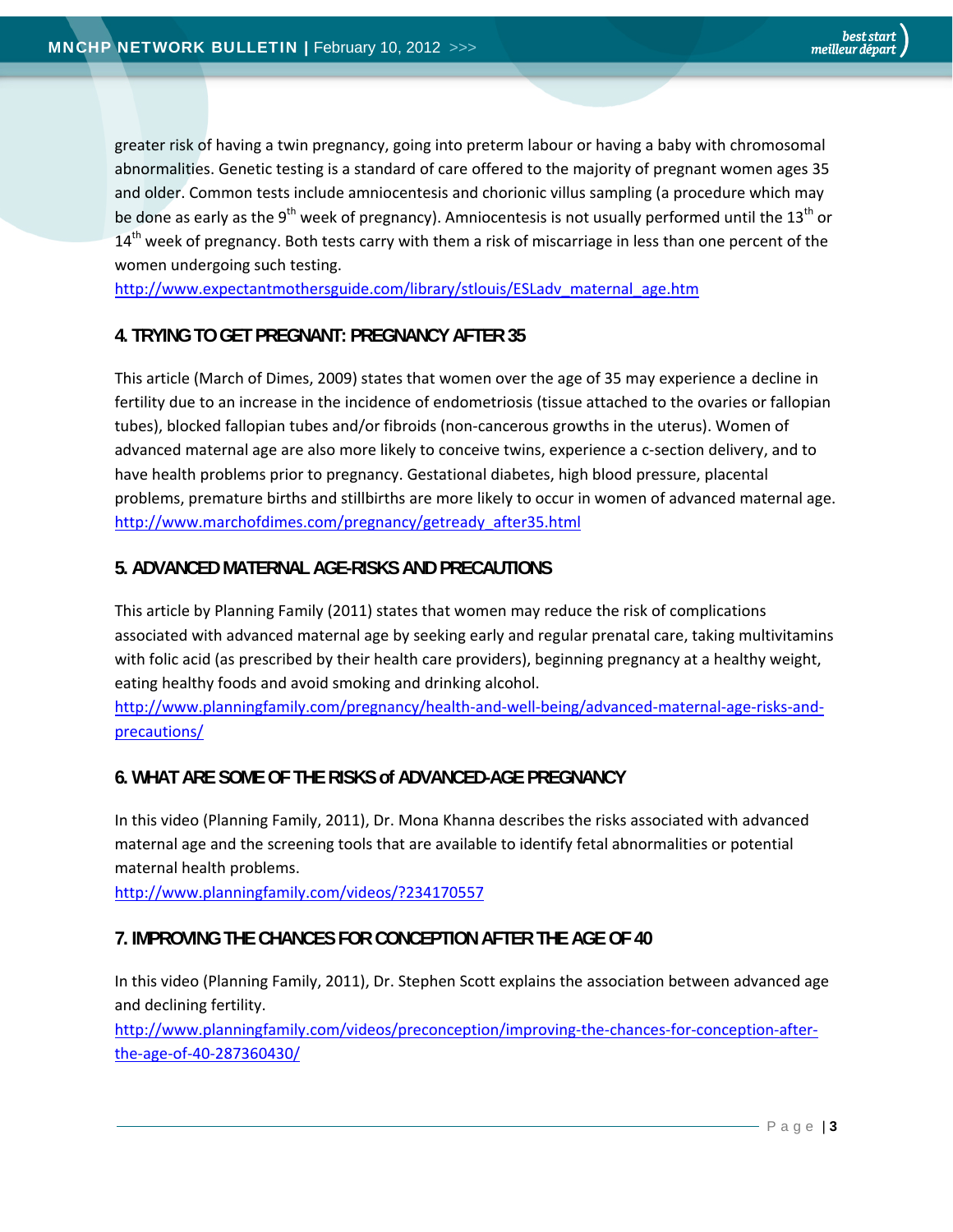greater risk of having a twin pregnancy, going into preterm labour or having a baby with chromosomal abnormalities. Genetic testing is a standard of care offered to the majority of pregnant women ages 35 and older. Common tests include amniocentesis and chorionic villus sampling (a procedure which may be done as early as the 9<sup>th</sup> week of pregnancy). Amniocentesis is not usually performed until the 13<sup>th</sup> or  $14<sup>th</sup>$  week of pregnancy. Both tests carry with them a risk of miscarriage in less than one percent of the women undergoing such testing.

http://www.expectantmothersguide.com/library/stlouis/ESLadv\_maternal\_age.htm

#### **4. TRYING TO GET PREGNANT: PREGNANCY AFTER 35**

This article (March of Dimes, 2009) states that women over the age of 35 may experience a decline in fertility due to an increase in the incidence of endometriosis (tissue attached to the ovaries or fallopian tubes), blocked fallopian tubes and/or fibroids (non‐cancerous growths in the uterus). Women of advanced maternal age are also more likely to conceive twins, experience a c‐section delivery, and to have health problems prior to pregnancy. Gestational diabetes, high blood pressure, placental problems, premature births and stillbirths are more likely to occur in women of advanced maternal age. http://www.marchofdimes.com/pregnancy/getready\_after35.html

#### **5. ADVANCED MATERNAL AGE-RISKS AND PRECAUTIONS**

This article by Planning Family (2011) states that women may reduce the risk of complications associated with advanced maternal age by seeking early and regular prenatal care, taking multivitamins with folic acid (as prescribed by their health care providers), beginning pregnancy at a healthy weight, eating healthy foods and avoid smoking and drinking alcohol.

http://www.planningfamily.com/pregnancy/health-and-well-being/advanced-maternal-age-risks-andprecautions/

#### **6. WHAT ARE SOME OF THE RISKS of ADVANCED-AGE PREGNANCY**

In this video (Planning Family, 2011), Dr. Mona Khanna describes the risks associated with advanced maternal age and the screening tools that are available to identify fetal abnormalities or potential maternal health problems.

http://www.planningfamily.com/videos/?234170557

#### **7. IMPROVING THE CHANCES FOR CONCEPTION AFTER THE AGE OF 40**

In this video (Planning Family, 2011), Dr. Stephen Scott explains the association between advanced age and declining fertility.

http://www.planningfamily.com/videos/preconception/improving-the-chances-for-conception-afterthe‐age‐of‐40‐287360430/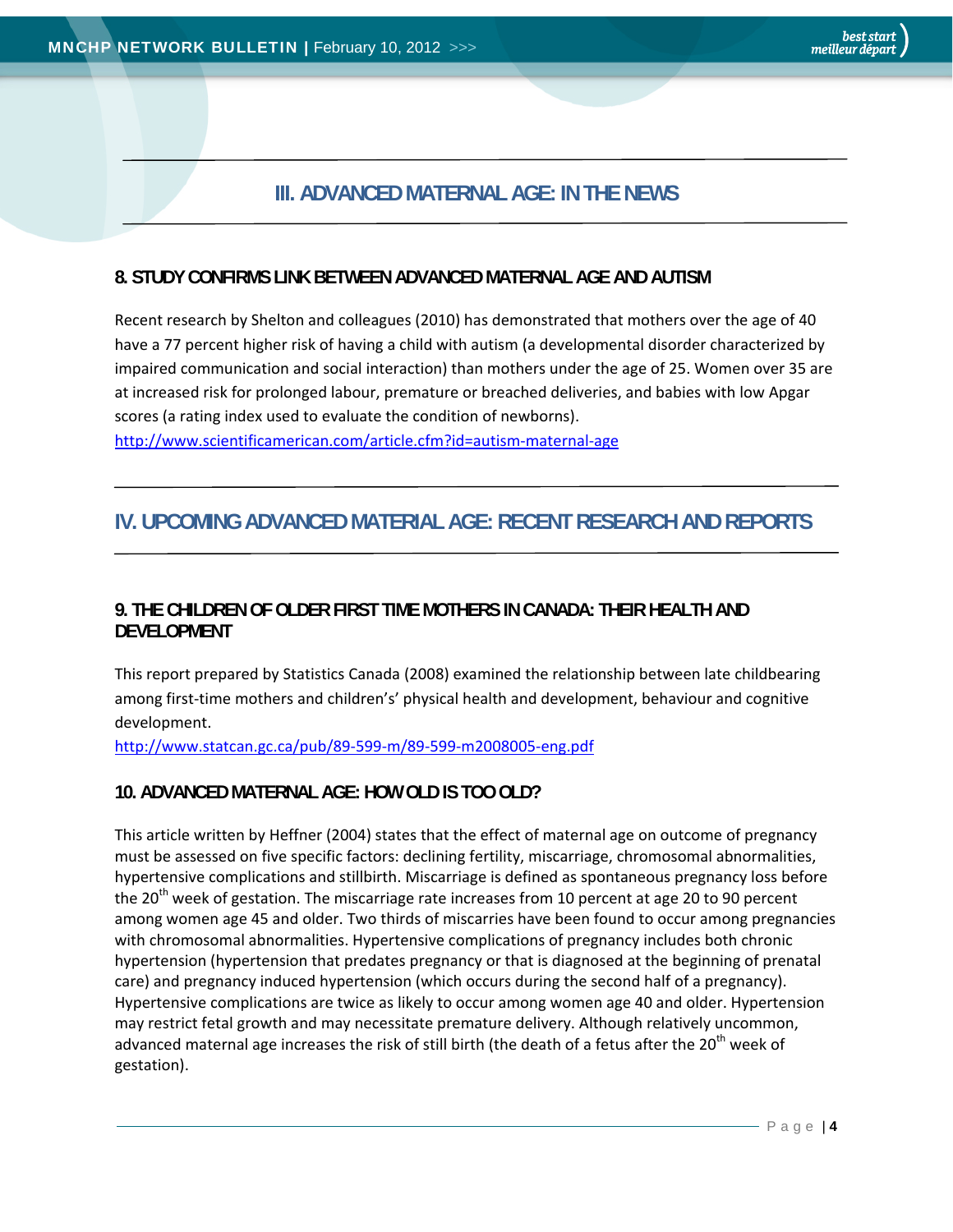# **III. ADVANCED MATERNAL AGE: IN THE NEWS**

#### **8. STUDY CONFIRMS LINK BETWEEN ADVANCED MATERNAL AGE AND AUTISM**

Recent research by Shelton and colleagues (2010) has demonstrated that mothers over the age of 40 have a 77 percent higher risk of having a child with autism (a developmental disorder characterized by impaired communication and social interaction) than mothers under the age of 25. Women over 35 are at increased risk for prolonged labour, premature or breached deliveries, and babies with low Apgar scores (a rating index used to evaluate the condition of newborns). http://www.scientificamerican.com/article.cfm?id=autism‐maternal‐age

# **IV. UPCOMING ADVANCED MATERIAL AGE: RECENT RESEARCH AND REPORTS**

## **9. THE CHILDREN OF OLDER FIRST TIME MOTHERS IN CANADA: THEIR HEALTH AND DEVELOPMENT**

This report prepared by Statistics Canada (2008) examined the relationship between late childbearing among first-time mothers and children's' physical health and development, behaviour and cognitive development.

http://www.statcan.gc.ca/pub/89‐599‐m/89‐599‐m2008005‐eng.pdf

## **10. ADVANCED MATERNAL AGE: HOW OLD IS TOO OLD?**

This article written by Heffner (2004) states that the effect of maternal age on outcome of pregnancy must be assessed on five specific factors: declining fertility, miscarriage, chromosomal abnormalities, hypertensive complications and stillbirth. Miscarriage is defined as spontaneous pregnancy loss before the 20<sup>th</sup> week of gestation. The miscarriage rate increases from 10 percent at age 20 to 90 percent among women age 45 and older. Two thirds of miscarries have been found to occur among pregnancies with chromosomal abnormalities. Hypertensive complications of pregnancy includes both chronic hypertension (hypertension that predates pregnancy or that is diagnosed at the beginning of prenatal care) and pregnancy induced hypertension (which occurs during the second half of a pregnancy). Hypertensive complications are twice as likely to occur among women age 40 and older. Hypertension may restrict fetal growth and may necessitate premature delivery. Although relatively uncommon, advanced maternal age increases the risk of still birth (the death of a fetus after the  $20<sup>th</sup>$  week of gestation).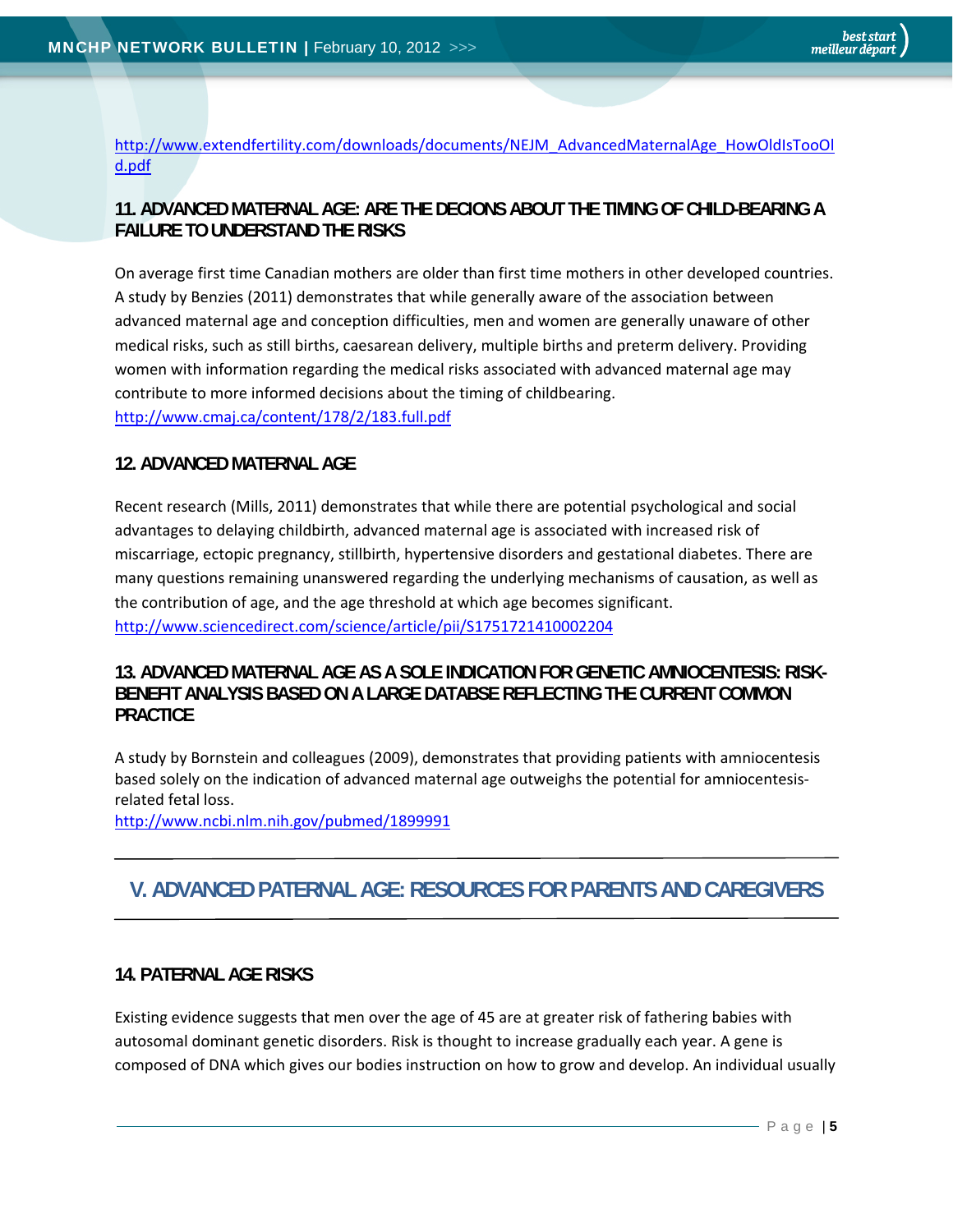http://www.extendfertility.com/downloads/documents/NEJM\_AdvancedMaternalAge\_HowOldIsTooOl d.pdf

## **11. ADVANCED MATERNAL AGE: ARE THE DECIONS ABOUT THE TIMING OF CHILD-BEARING A FAILURE TO UNDERSTAND THE RISKS**

On average first time Canadian mothers are older than first time mothers in other developed countries. A study by Benzies (2011) demonstrates that while generally aware of the association between advanced maternal age and conception difficulties, men and women are generally unaware of other medical risks, such as still births, caesarean delivery, multiple births and preterm delivery. Providing women with information regarding the medical risks associated with advanced maternal age may contribute to more informed decisions about the timing of childbearing. http://www.cmaj.ca/content/178/2/183.full.pdf

#### **12. ADVANCED MATERNAL AGE**

Recent research (Mills, 2011) demonstrates that while there are potential psychological and social advantages to delaying childbirth, advanced maternal age is associated with increased risk of miscarriage, ectopic pregnancy, stillbirth, hypertensive disorders and gestational diabetes. There are many questions remaining unanswered regarding the underlying mechanisms of causation, as well as the contribution of age, and the age threshold at which age becomes significant. http://www.sciencedirect.com/science/article/pii/S1751721410002204

#### **13. ADVANCED MATERNAL AGE AS A SOLE INDICATION FOR GENETIC AMNIOCENTESIS: RISK-BENEFIT ANALYSIS BASED ON A LARGE DATABSE REFLECTING THE CURRENT COMMON PRACTICE**

A study by Bornstein and colleagues (2009), demonstrates that providing patients with amniocentesis based solely on the indication of advanced maternal age outweighs the potential for amniocentesis‐ related fetal loss.

http://www.ncbi.nlm.nih.gov/pubmed/1899991

# **V. ADVANCED PATERNAL AGE: RESOURCES FOR PARENTS AND CAREGIVERS**

#### **14. PATERNAL AGE RISKS**

Existing evidence suggests that men over the age of 45 are at greater risk of fathering babies with autosomal dominant genetic disorders. Risk is thought to increase gradually each year. A gene is composed of DNA which gives our bodies instruction on how to grow and develop. An individual usually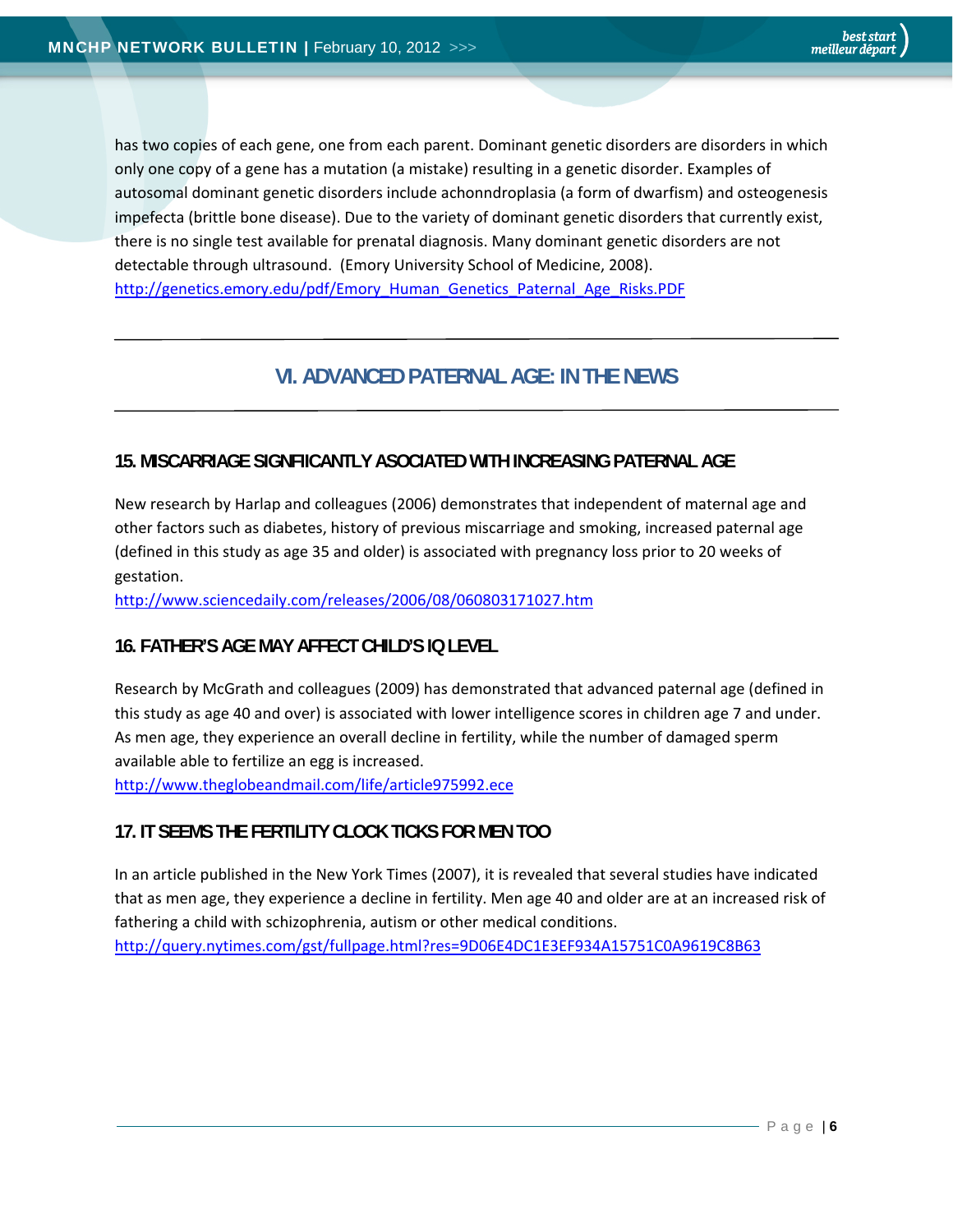has two copies of each gene, one from each parent. Dominant genetic disorders are disorders in which only one copy of a gene has a mutation (a mistake) resulting in a genetic disorder. Examples of autosomal dominant genetic disorders include achonndroplasia (a form of dwarfism) and osteogenesis impefecta (brittle bone disease). Due to the variety of dominant genetic disorders that currently exist, there is no single test available for prenatal diagnosis. Many dominant genetic disorders are not detectable through ultrasound. (Emory University School of Medicine, 2008). http://genetics.emory.edu/pdf/Emory\_Human\_Genetics\_Paternal\_Age\_Risks.PDF

# **VI. ADVANCED PATERNAL AGE: IN THE NEWS**

#### **15. MISCARRIAGE SIGNFIICANTLY ASOCIATED WITH INCREASING PATERNAL AGE**

New research by Harlap and colleagues (2006) demonstrates that independent of maternal age and other factors such as diabetes, history of previous miscarriage and smoking, increased paternal age (defined in this study as age 35 and older) is associated with pregnancy loss prior to 20 weeks of gestation.

http://www.sciencedaily.com/releases/2006/08/060803171027.htm

#### **16. FATHER'S AGE MAY AFFECT CHILD'S IQ LEVEL**

Research by McGrath and colleagues (2009) has demonstrated that advanced paternal age (defined in this study as age 40 and over) is associated with lower intelligence scores in children age 7 and under. As men age, they experience an overall decline in fertility, while the number of damaged sperm available able to fertilize an egg is increased.

http://www.theglobeandmail.com/life/article975992.ece

## **17. IT SEEMS THE FERTILITY CLOCK TICKS FOR MEN TOO**

In an article published in the New York Times (2007), it is revealed that several studies have indicated that as men age, they experience a decline in fertility. Men age 40 and older are at an increased risk of fathering a child with schizophrenia, autism or other medical conditions. http://query.nytimes.com/gst/fullpage.html?res=9D06E4DC1E3EF934A15751C0A9619C8B63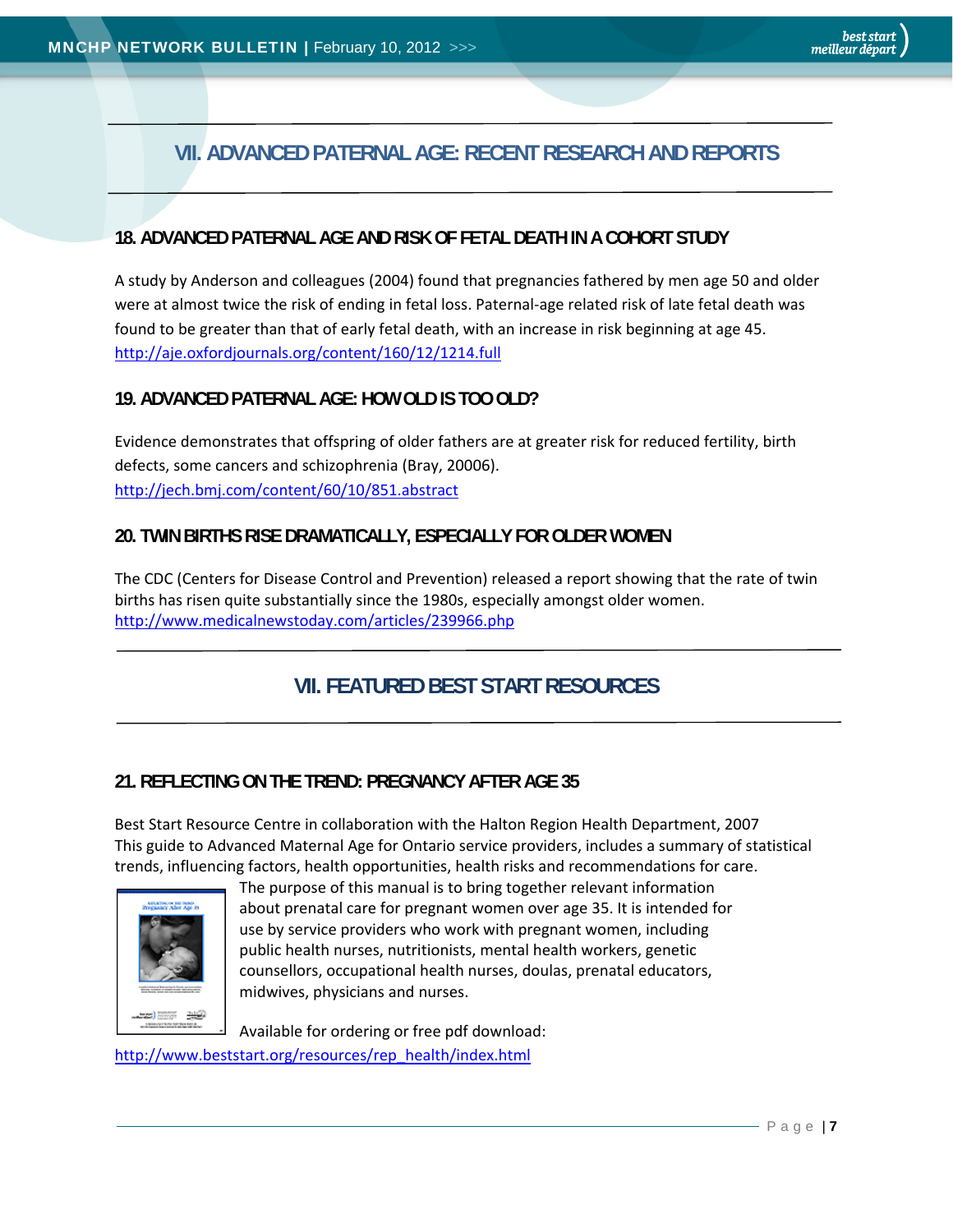# **VII. ADVANCED PATERNAL AGE: RECENT RESEARCH AND REPORTS**

### **18. ADVANCED PATERNAL AGE AND RISK OF FETAL DEATH IN A COHORT STUDY**

A study by Anderson and colleagues (2004) found that pregnancies fathered by men age 50 and older were at almost twice the risk of ending in fetal loss. Paternal-age related risk of late fetal death was found to be greater than that of early fetal death, with an increase in risk beginning at age 45. http://aje.oxfordjournals.org/content/160/12/1214.full

#### **19. ADVANCED PATERNAL AGE: HOW OLD IS TOO OLD?**

Evidence demonstrates that offspring of older fathers are at greater risk for reduced fertility, birth defects, some cancers and schizophrenia (Bray, 20006). http://jech.bmj.com/content/60/10/851.abstract

#### **20. TWIN BIRTHS RISE DRAMATICALLY, ESPECIALLY FOR OLDER WOMEN**

The CDC (Centers for Disease Control and Prevention) released a report showing that the rate of twin births has risen quite substantially since the 1980s, especially amongst older women. http://www.medicalnewstoday.com/articles/239966.php

# **VII. FEATURED BEST START RESOURCES**

## **21. REFLECTING ON THE TREND: PREGNANCY AFTER AGE 35**

Best Start Resource Centre in collaboration with the Halton Region Health Department, 2007 This guide to Advanced Maternal Age for Ontario service providers, includes a summary of statistical trends, influencing factors, health opportunities, health risks and recommendations for care.



The purpose of this manual is to bring together relevant information about prenatal care for pregnant women over age 35. It is intended for use by service providers who work with pregnant women, including public health nurses, nutritionists, mental health workers, genetic counsellors, occupational health nurses, doulas, prenatal educators, midwives, physicians and nurses.

Available for ordering or free pdf download: http://www.beststart.org/resources/rep\_health/index.html